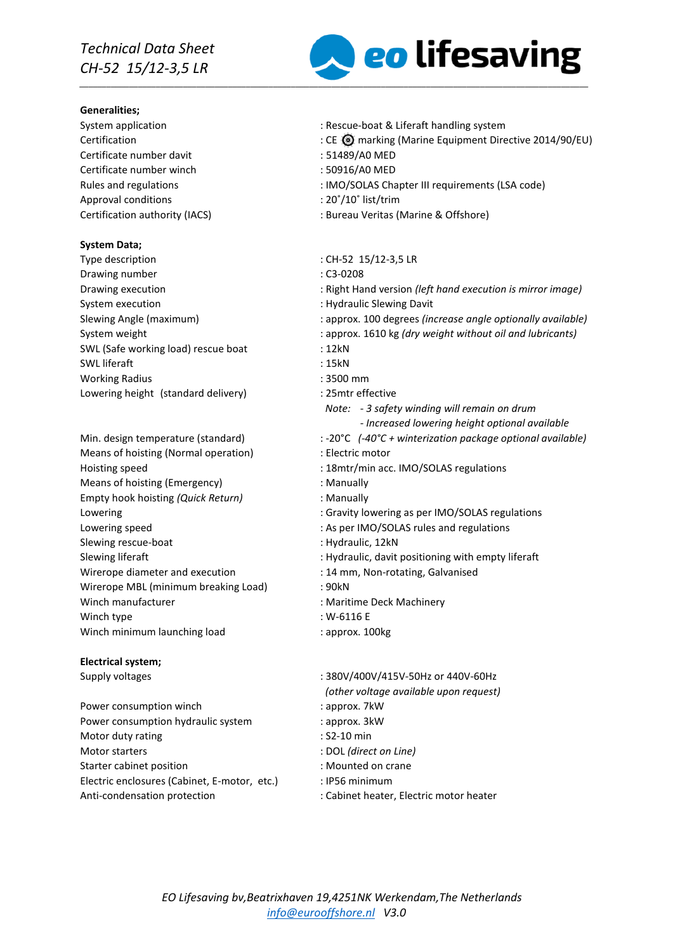#### **Generalities;**

Certificate number davit : 51489/A0 MED Certificate number winch : 50916/A0 MED Approval conditions  $\cdot$  20°/10° list/trim

### **System Data;**

- Type description  $\cdot$  CH-52 15/12-3,5 LR Drawing number : C3-0208 System execution **System** execution **in the system** of  $\mathbf{S}$  . Hydraulic Slewing Davit SWL (Safe working load) rescue boat : 12kN SWL liferaft : 15kN Working Radius : 3500 mm Lowering height (standard delivery) : 25mtr effective
- Means of hoisting (Normal operation) : Electric motor Hoisting speed : 18mtr/min acc. IMO/SOLAS regulations Means of hoisting (Emergency) **interpretational** means of hoisting (Emergency) Empty hook hoisting *(Quick Return)* : Manually Slewing rescue-boat : Hydraulic, 12kN Wirerope diameter and execution : 14 mm, Non-rotating, Galvanised Wirerope MBL (minimum breaking Load) : 90kN Winch manufacturer **in the contract of the Contract Machinery** : Maritime Deck Machinery Winch type : W-6116 E Winch minimum launching load : approx. 100kg

### **Electrical system;**

Power consumption winch in the same state of the state of the state of the state of the state of the state of the state of the state of the state of the state of the state of the state of the state of the state of the stat Power consumption hydraulic system : approx. 3kW Motor duty rating in the set of the set of the S2-10 min Motor starters : DOL *(direct on Line)* Starter cabinet position **Starter cabinet position in the case of the CS** in Mounted on crane Electric enclosures (Cabinet, E-motor, etc.) : IP56 minimum Anti-condensation protection : Cabinet heater, Electric motor heater



- System application **System application** : Rescue-boat & Liferaft handling system
- CE **O** marking (Marine Equipment Directive 2014/90/EU) : CE **O** marking (Marine Equipment Directive 2014/90/EU)
	-
	-
- Rules and regulations  $\cdot$  : IMO/SOLAS Chapter III requirements (LSA code)
	-
- Certification authority (IACS) : Bureau Veritas (Marine & Offshore)
	-
	-
- Drawing execution : Right Hand version *(left hand execution is mirror image)*
	-
- Slewing Angle (maximum) : approx. 100 degrees *(increase angle optionally available)*
- System weight **induced in the system weight in the system weight without oil and lubricants)** 
	-
	-
	-
	-
	- *Note: - 3 safety winding will remain on drum*
		- *- Increased lowering height optional available*
- Min. design temperature (standard) : -20°C (-40°C + winterization package optional available)
	-
	-
	-
	-
- Lowering the contract of the contract of Gravity lowering as per IMO/SOLAS regulations
- Lowering speed  $\blacksquare$ : As per IMO/SOLAS rules and regulations
	-
- Slewing liferaft in the state of the Hydraulic, davit positioning with empty liferaft
	-
	-
	-
	-
	-
- Supply voltages : 380V/400V/415V-50Hz or 440V-60Hz *(other voltage available upon request)*
	-